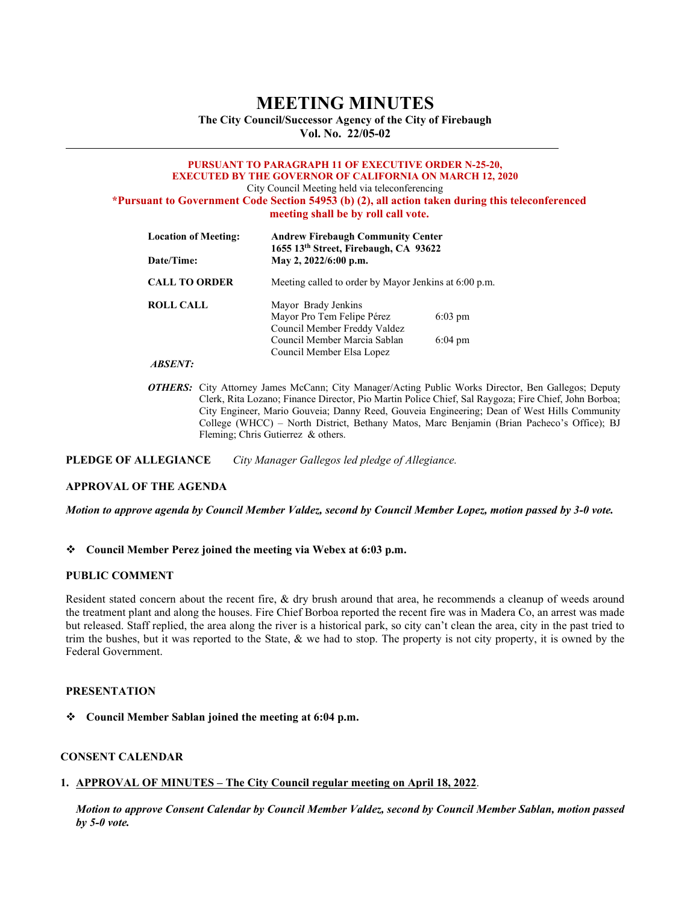# **MEETING MINUTES**

**The City Council/Successor Agency of the City of Firebaugh Vol. No. 22/05-02** 

#### **PURSUANT TO PARAGRAPH 11 OF EXECUTIVE ORDER N-25-20, EXECUTED BY THE GOVERNOR OF CALIFORNIA ON MARCH 12, 2020** City Council Meeting held via teleconferencing **\*Pursuant to Government Code Section 54953 (b) (2), all action taken during this teleconferenced meeting shall be by roll call vote.**

| <b>Location of Meeting:</b> | <b>Andrew Firebaugh Community Center</b><br>1655 13th Street, Firebaugh, CA 93622<br>May 2, 2022/6:00 p.m. |                   |
|-----------------------------|------------------------------------------------------------------------------------------------------------|-------------------|
| Date/Time:                  |                                                                                                            |                   |
| <b>CALL TO ORDER</b>        | Meeting called to order by Mayor Jenkins at 6:00 p.m.                                                      |                   |
| <b>ROLL CALL</b>            | Mayor Brady Jenkins                                                                                        |                   |
|                             | Mayor Pro Tem Felipe Pérez                                                                                 | $6:03 \text{ pm}$ |
|                             | Council Member Freddy Valdez                                                                               |                   |
|                             | Council Member Marcia Sablan                                                                               | $6:04 \text{ pm}$ |
|                             | Council Member Elsa Lopez                                                                                  |                   |
| <i>ARSENT:</i>              |                                                                                                            |                   |

*OTHERS:* City Attorney James McCann; City Manager/Acting Public Works Director, Ben Gallegos; Deputy Clerk, Rita Lozano; Finance Director, Pio Martin Police Chief, Sal Raygoza; Fire Chief, John Borboa; City Engineer, Mario Gouveia; Danny Reed, Gouveia Engineering; Dean of West Hills Community College (WHCC) – North District, Bethany Matos, Marc Benjamin (Brian Pacheco's Office); BJ Fleming; Chris Gutierrez & others.

**PLEDGE OF ALLEGIANCE** *City Manager Gallegos led pledge of Allegiance.*

## **APPROVAL OF THE AGENDA**

*Motion to approve agenda by Council Member Valdez, second by Council Member Lopez, motion passed by 3-0 vote.* 

## **Council Member Perez joined the meeting via Webex at 6:03 p.m.**

#### **PUBLIC COMMENT**

Resident stated concern about the recent fire, & dry brush around that area, he recommends a cleanup of weeds around the treatment plant and along the houses. Fire Chief Borboa reported the recent fire was in Madera Co, an arrest was made but released. Staff replied, the area along the river is a historical park, so city can't clean the area, city in the past tried to trim the bushes, but it was reported to the State, & we had to stop. The property is not city property, it is owned by the Federal Government.

## **PRESENTATION**

**Council Member Sablan joined the meeting at 6:04 p.m.**

## **CONSENT CALENDAR**

## **1. APPROVAL OF MINUTES – The City Council regular meeting on April 18, 2022**.

*Motion to approve Consent Calendar by Council Member Valdez, second by Council Member Sablan, motion passed by 5-0 vote.*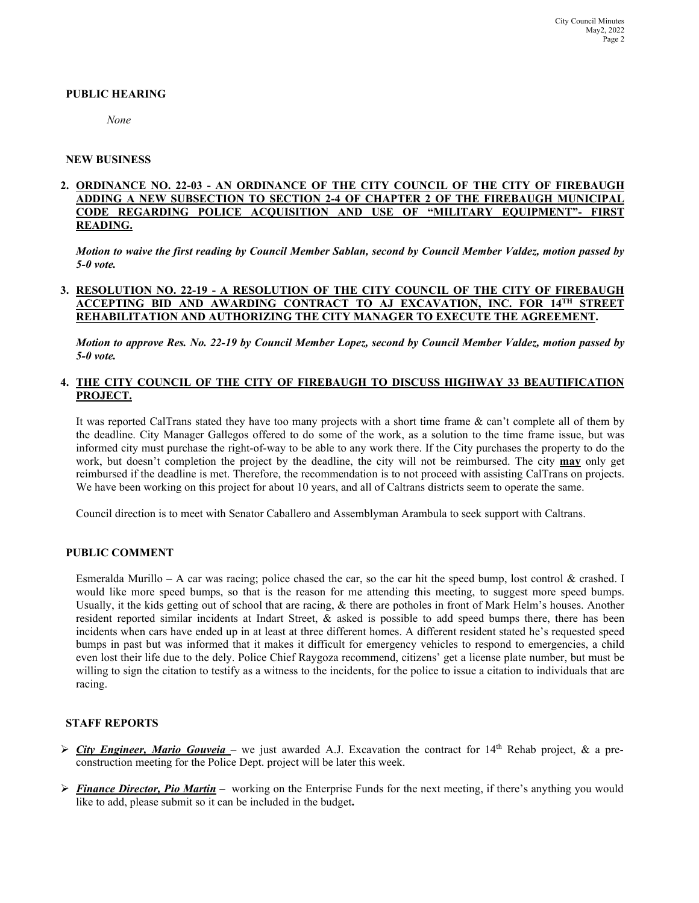## **PUBLIC HEARING**

*None*

#### **NEW BUSINESS**

## **2. ORDINANCE NO. 22-03 - AN ORDINANCE OF THE CITY COUNCIL OF THE CITY OF FIREBAUGH ADDING A NEW SUBSECTION TO SECTION 2-4 OF CHAPTER 2 OF THE FIREBAUGH MUNICIPAL CODE REGARDING POLICE ACQUISITION AND USE OF "MILITARY EQUIPMENT"- FIRST READING.**

*Motion to waive the first reading by Council Member Sablan, second by Council Member Valdez, motion passed by 5-0 vote.* 

## **3. RESOLUTION NO. 22-19 - A RESOLUTION OF THE CITY COUNCIL OF THE CITY OF FIREBAUGH ACCEPTING BID AND AWARDING CONTRACT TO AJ EXCAVATION, INC. FOR 14TH STREET REHABILITATION AND AUTHORIZING THE CITY MANAGER TO EXECUTE THE AGREEMENT.**

*Motion to approve Res. No. 22-19 by Council Member Lopez, second by Council Member Valdez, motion passed by 5-0 vote.* 

## **4. THE CITY COUNCIL OF THE CITY OF FIREBAUGH TO DISCUSS HIGHWAY 33 BEAUTIFICATION PROJECT.**

It was reported CalTrans stated they have too many projects with a short time frame & can't complete all of them by the deadline. City Manager Gallegos offered to do some of the work, as a solution to the time frame issue, but was informed city must purchase the right-of-way to be able to any work there. If the City purchases the property to do the work, but doesn't completion the project by the deadline, the city will not be reimbursed. The city **may** only get reimbursed if the deadline is met. Therefore, the recommendation is to not proceed with assisting CalTrans on projects. We have been working on this project for about 10 years, and all of Caltrans districts seem to operate the same.

Council direction is to meet with Senator Caballero and Assemblyman Arambula to seek support with Caltrans.

#### **PUBLIC COMMENT**

Esmeralda Murillo – A car was racing; police chased the car, so the car hit the speed bump, lost control  $\&$  crashed. I would like more speed bumps, so that is the reason for me attending this meeting, to suggest more speed bumps. Usually, it the kids getting out of school that are racing, & there are potholes in front of Mark Helm's houses. Another resident reported similar incidents at Indart Street, & asked is possible to add speed bumps there, there has been incidents when cars have ended up in at least at three different homes. A different resident stated he's requested speed bumps in past but was informed that it makes it difficult for emergency vehicles to respond to emergencies, a child even lost their life due to the dely. Police Chief Raygoza recommend, citizens' get a license plate number, but must be willing to sign the citation to testify as a witness to the incidents, for the police to issue a citation to individuals that are racing.

#### **STAFF REPORTS**

- $\triangleright$  *City Engineer, Mario Gouveia* we just awarded A.J. Excavation the contract for 14<sup>th</sup> Rehab project, & a preconstruction meeting for the Police Dept. project will be later this week.
- *Finance Director, Pio Martin* working on the Enterprise Funds for the next meeting, if there's anything you would like to add, please submit so it can be included in the budget**.**